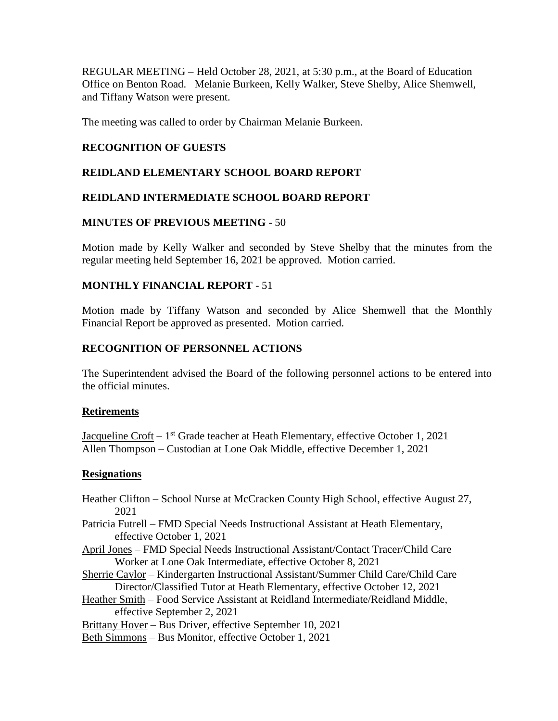REGULAR MEETING – Held October 28, 2021, at 5:30 p.m., at the Board of Education Office on Benton Road. Melanie Burkeen, Kelly Walker, Steve Shelby, Alice Shemwell, and Tiffany Watson were present.

The meeting was called to order by Chairman Melanie Burkeen.

## **RECOGNITION OF GUESTS**

## **REIDLAND ELEMENTARY SCHOOL BOARD REPORT**

## **REIDLAND INTERMEDIATE SCHOOL BOARD REPORT**

#### **MINUTES OF PREVIOUS MEETING** - 50

Motion made by Kelly Walker and seconded by Steve Shelby that the minutes from the regular meeting held September 16, 2021 be approved. Motion carried.

## **MONTHLY FINANCIAL REPORT** - 51

Motion made by Tiffany Watson and seconded by Alice Shemwell that the Monthly Financial Report be approved as presented. Motion carried.

## **RECOGNITION OF PERSONNEL ACTIONS**

The Superintendent advised the Board of the following personnel actions to be entered into the official minutes.

#### **Retirements**

Jacqueline Croft – 1<sup>st</sup> Grade teacher at Heath Elementary, effective October 1, 2021 Allen Thompson – Custodian at Lone Oak Middle, effective December 1, 2021

#### **Resignations**

Heather Clifton – School Nurse at McCracken County High School, effective August 27, 2021

Patricia Futrell – FMD Special Needs Instructional Assistant at Heath Elementary, effective October 1, 2021

- April Jones FMD Special Needs Instructional Assistant/Contact Tracer/Child Care Worker at Lone Oak Intermediate, effective October 8, 2021
- Sherrie Caylor Kindergarten Instructional Assistant/Summer Child Care/Child Care Director/Classified Tutor at Heath Elementary, effective October 12, 2021
- Heather Smith Food Service Assistant at Reidland Intermediate/Reidland Middle, effective September 2, 2021

Brittany Hover – Bus Driver, effective September 10, 2021

Beth Simmons – Bus Monitor, effective October 1, 2021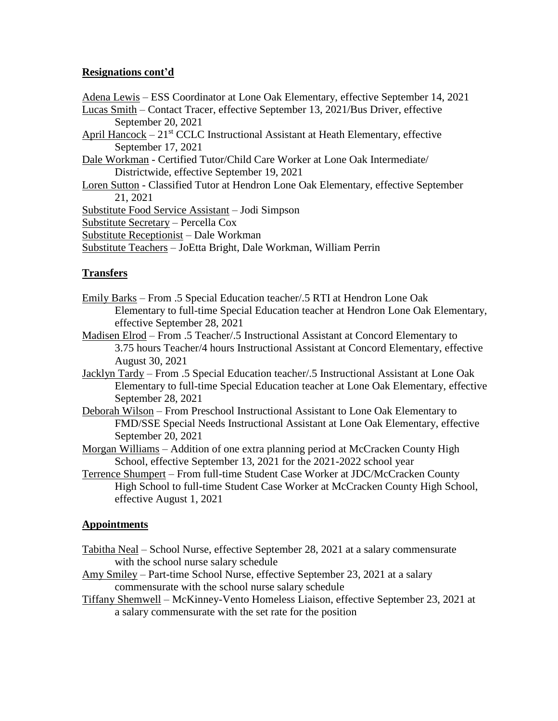## **Resignations cont'd**

Adena Lewis – ESS Coordinator at Lone Oak Elementary, effective September 14, 2021

Lucas Smith – Contact Tracer, effective September 13, 2021/Bus Driver, effective September 20, 2021

April Hancock – 21<sup>st</sup> CCLC Instructional Assistant at Heath Elementary, effective September 17, 2021

Dale Workman - Certified Tutor/Child Care Worker at Lone Oak Intermediate/ Districtwide, effective September 19, 2021

Loren Sutton - Classified Tutor at Hendron Lone Oak Elementary, effective September 21, 2021

Substitute Food Service Assistant – Jodi Simpson

Substitute Secretary – Percella Cox

Substitute Receptionist – Dale Workman

Substitute Teachers – JoEtta Bright, Dale Workman, William Perrin

# **Transfers**

- Emily Barks From .5 Special Education teacher/.5 RTI at Hendron Lone Oak Elementary to full-time Special Education teacher at Hendron Lone Oak Elementary, effective September 28, 2021
- Madisen Elrod From .5 Teacher/.5 Instructional Assistant at Concord Elementary to 3.75 hours Teacher/4 hours Instructional Assistant at Concord Elementary, effective August 30, 2021
- Jacklyn Tardy From .5 Special Education teacher/.5 Instructional Assistant at Lone Oak Elementary to full-time Special Education teacher at Lone Oak Elementary, effective September 28, 2021
- Deborah Wilson From Preschool Instructional Assistant to Lone Oak Elementary to FMD/SSE Special Needs Instructional Assistant at Lone Oak Elementary, effective September 20, 2021

Morgan Williams – Addition of one extra planning period at McCracken County High School, effective September 13, 2021 for the 2021-2022 school year

Terrence Shumpert – From full-time Student Case Worker at JDC/McCracken County High School to full-time Student Case Worker at McCracken County High School, effective August 1, 2021

# **Appointments**

- Tabitha Neal School Nurse, effective September 28, 2021 at a salary commensurate with the school nurse salary schedule
- Amy Smiley Part-time School Nurse, effective September 23, 2021 at a salary commensurate with the school nurse salary schedule
- Tiffany Shemwell McKinney-Vento Homeless Liaison, effective September 23, 2021 at a salary commensurate with the set rate for the position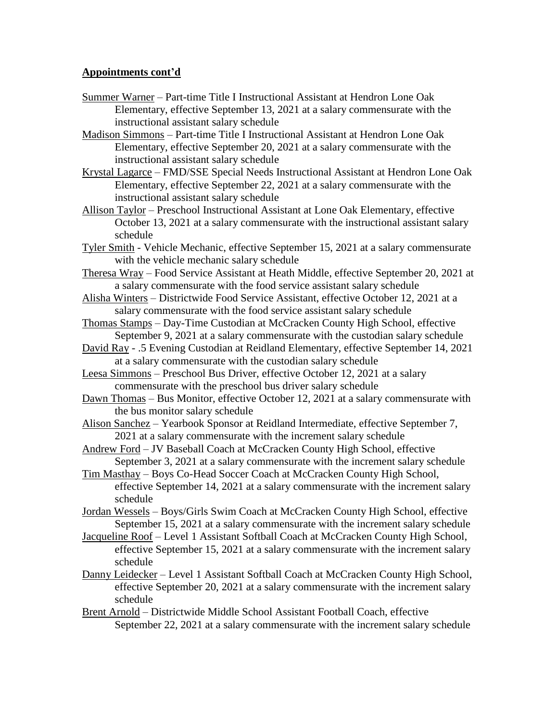#### **Appointments cont'd**

- Summer Warner Part-time Title I Instructional Assistant at Hendron Lone Oak Elementary, effective September 13, 2021 at a salary commensurate with the instructional assistant salary schedule
- Madison Simmons Part-time Title I Instructional Assistant at Hendron Lone Oak Elementary, effective September 20, 2021 at a salary commensurate with the instructional assistant salary schedule
- Krystal Lagarce FMD/SSE Special Needs Instructional Assistant at Hendron Lone Oak Elementary, effective September 22, 2021 at a salary commensurate with the instructional assistant salary schedule
- Allison Taylor Preschool Instructional Assistant at Lone Oak Elementary, effective October 13, 2021 at a salary commensurate with the instructional assistant salary schedule
- Tyler Smith Vehicle Mechanic, effective September 15, 2021 at a salary commensurate with the vehicle mechanic salary schedule
- Theresa Wray Food Service Assistant at Heath Middle, effective September 20, 2021 at a salary commensurate with the food service assistant salary schedule
- Alisha Winters Districtwide Food Service Assistant, effective October 12, 2021 at a salary commensurate with the food service assistant salary schedule
- Thomas Stamps Day-Time Custodian at McCracken County High School, effective September 9, 2021 at a salary commensurate with the custodian salary schedule
- David Ray .5 Evening Custodian at Reidland Elementary, effective September 14, 2021 at a salary commensurate with the custodian salary schedule
- Leesa Simmons Preschool Bus Driver, effective October 12, 2021 at a salary commensurate with the preschool bus driver salary schedule
- Dawn Thomas Bus Monitor, effective October 12, 2021 at a salary commensurate with the bus monitor salary schedule
- Alison Sanchez Yearbook Sponsor at Reidland Intermediate, effective September 7, 2021 at a salary commensurate with the increment salary schedule
- Andrew Ford JV Baseball Coach at McCracken County High School, effective September 3, 2021 at a salary commensurate with the increment salary schedule
- Tim Masthay Boys Co-Head Soccer Coach at McCracken County High School, effective September 14, 2021 at a salary commensurate with the increment salary schedule
- Jordan Wessels Boys/Girls Swim Coach at McCracken County High School, effective September 15, 2021 at a salary commensurate with the increment salary schedule
- Jacqueline Roof Level 1 Assistant Softball Coach at McCracken County High School, effective September 15, 2021 at a salary commensurate with the increment salary schedule
- Danny Leidecker Level 1 Assistant Softball Coach at McCracken County High School, effective September 20, 2021 at a salary commensurate with the increment salary schedule
- Brent Arnold Districtwide Middle School Assistant Football Coach, effective September 22, 2021 at a salary commensurate with the increment salary schedule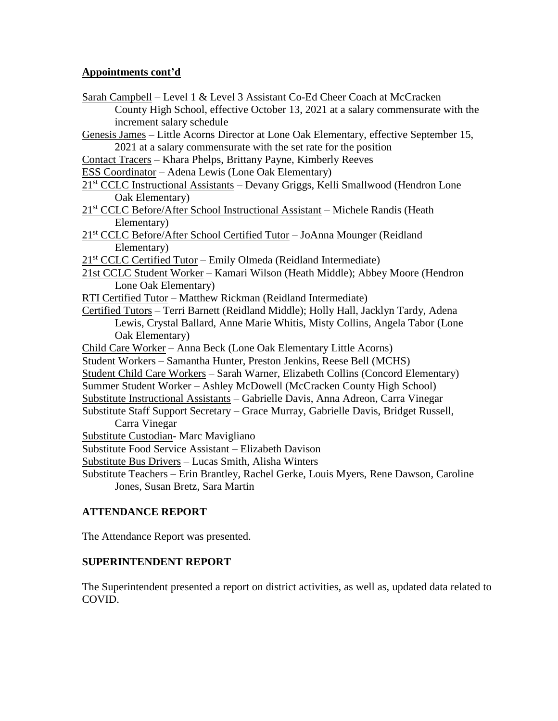## **Appointments cont'd**

- Sarah Campbell Level 1 & Level 3 Assistant Co-Ed Cheer Coach at McCracken County High School, effective October 13, 2021 at a salary commensurate with the increment salary schedule
- Genesis James Little Acorns Director at Lone Oak Elementary, effective September 15, 2021 at a salary commensurate with the set rate for the position
- Contact Tracers Khara Phelps, Brittany Payne, Kimberly Reeves
- ESS Coordinator Adena Lewis (Lone Oak Elementary)
- 21st CCLC Instructional Assistants Devany Griggs, Kelli Smallwood (Hendron Lone Oak Elementary)
- 21<sup>st</sup> CCLC Before/After School Instructional Assistant Michele Randis (Heath Elementary)
- 21<sup>st</sup> CCLC Before/After School Certified Tutor JoAnna Mounger (Reidland Elementary)
- 21<sup>st</sup> CCLC Certified Tutor Emily Olmeda (Reidland Intermediate)
- 21st CCLC Student Worker Kamari Wilson (Heath Middle); Abbey Moore (Hendron Lone Oak Elementary)
- RTI Certified Tutor Matthew Rickman (Reidland Intermediate)
- Certified Tutors Terri Barnett (Reidland Middle); Holly Hall, Jacklyn Tardy, Adena Lewis, Crystal Ballard, Anne Marie Whitis, Misty Collins, Angela Tabor (Lone Oak Elementary)
- Child Care Worker Anna Beck (Lone Oak Elementary Little Acorns)
- Student Workers Samantha Hunter, Preston Jenkins, Reese Bell (MCHS)
- Student Child Care Workers Sarah Warner, Elizabeth Collins (Concord Elementary)
- Summer Student Worker Ashley McDowell (McCracken County High School)
- Substitute Instructional Assistants Gabrielle Davis, Anna Adreon, Carra Vinegar
- Substitute Staff Support Secretary Grace Murray, Gabrielle Davis, Bridget Russell, Carra Vinegar
- Substitute Custodian- Marc Mavigliano
- Substitute Food Service Assistant Elizabeth Davison
- Substitute Bus Drivers Lucas Smith, Alisha Winters
- Substitute Teachers Erin Brantley, Rachel Gerke, Louis Myers, Rene Dawson, Caroline Jones, Susan Bretz, Sara Martin

# **ATTENDANCE REPORT**

The Attendance Report was presented.

#### **SUPERINTENDENT REPORT**

The Superintendent presented a report on district activities, as well as, updated data related to COVID.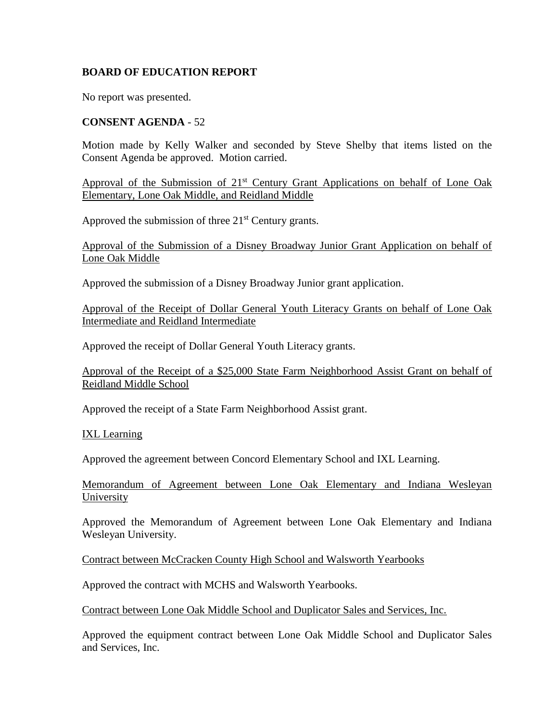## **BOARD OF EDUCATION REPORT**

No report was presented.

#### **CONSENT AGENDA** - 52

Motion made by Kelly Walker and seconded by Steve Shelby that items listed on the Consent Agenda be approved. Motion carried.

Approval of the Submission of 21<sup>st</sup> Century Grant Applications on behalf of Lone Oak Elementary, Lone Oak Middle, and Reidland Middle

Approved the submission of three  $21<sup>st</sup>$  Century grants.

Approval of the Submission of a Disney Broadway Junior Grant Application on behalf of Lone Oak Middle

Approved the submission of a Disney Broadway Junior grant application.

Approval of the Receipt of Dollar General Youth Literacy Grants on behalf of Lone Oak Intermediate and Reidland Intermediate

Approved the receipt of Dollar General Youth Literacy grants.

Approval of the Receipt of a \$25,000 State Farm Neighborhood Assist Grant on behalf of Reidland Middle School

Approved the receipt of a State Farm Neighborhood Assist grant.

IXL Learning

Approved the agreement between Concord Elementary School and IXL Learning.

Memorandum of Agreement between Lone Oak Elementary and Indiana Wesleyan University

Approved the Memorandum of Agreement between Lone Oak Elementary and Indiana Wesleyan University.

Contract between McCracken County High School and Walsworth Yearbooks

Approved the contract with MCHS and Walsworth Yearbooks.

Contract between Lone Oak Middle School and Duplicator Sales and Services, Inc.

Approved the equipment contract between Lone Oak Middle School and Duplicator Sales and Services, Inc.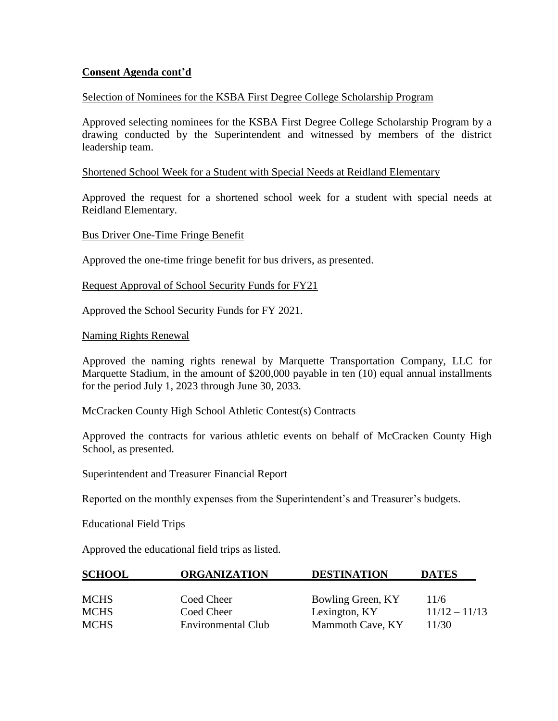## **Consent Agenda cont'd**

#### Selection of Nominees for the KSBA First Degree College Scholarship Program

Approved selecting nominees for the KSBA First Degree College Scholarship Program by a drawing conducted by the Superintendent and witnessed by members of the district leadership team.

#### Shortened School Week for a Student with Special Needs at Reidland Elementary

Approved the request for a shortened school week for a student with special needs at Reidland Elementary.

#### Bus Driver One-Time Fringe Benefit

Approved the one-time fringe benefit for bus drivers, as presented.

#### Request Approval of School Security Funds for FY21

Approved the School Security Funds for FY 2021.

#### Naming Rights Renewal

Approved the naming rights renewal by Marquette Transportation Company, LLC for Marquette Stadium, in the amount of \$200,000 payable in ten (10) equal annual installments for the period July 1, 2023 through June 30, 2033.

#### McCracken County High School Athletic Contest(s) Contracts

Approved the contracts for various athletic events on behalf of McCracken County High School, as presented.

#### Superintendent and Treasurer Financial Report

Reported on the monthly expenses from the Superintendent's and Treasurer's budgets.

Educational Field Trips

Approved the educational field trips as listed.

| <b>SCHOOL</b> | <b>ORGANIZATION</b>       | <b>DESTINATION</b> | <b>DATES</b>    |
|---------------|---------------------------|--------------------|-----------------|
|               |                           |                    |                 |
| <b>MCHS</b>   | Coed Cheer                | Bowling Green, KY  | 11/6            |
| <b>MCHS</b>   | Coed Cheer                | Lexington, KY      | $11/12 - 11/13$ |
| <b>MCHS</b>   | <b>Environmental Club</b> | Mammoth Cave, KY   | 11/30           |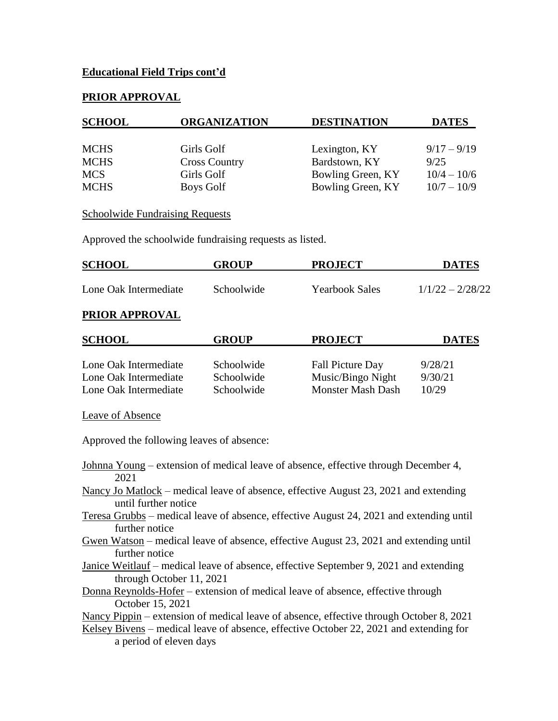## **Educational Field Trips cont'd**

#### **PRIOR APPROVAL**

| <b>SCHOOL</b> | <b>ORGANIZATION</b>  | <b>DESTINATION</b> | <b>DATES</b>  |
|---------------|----------------------|--------------------|---------------|
|               |                      |                    |               |
| <b>MCHS</b>   | Girls Golf           | Lexington, KY      | $9/17 - 9/19$ |
| <b>MCHS</b>   | <b>Cross Country</b> | Bardstown, KY      | 9/25          |
| <b>MCS</b>    | Girls Golf           | Bowling Green, KY  | $10/4 - 10/6$ |
| <b>MCHS</b>   | Boys Golf            | Bowling Green, KY  | $10/7 - 10/9$ |

#### **Schoolwide Fundraising Requests**

Approved the schoolwide fundraising requests as listed.

| <b>SCHOOL</b>         | <b>GROUP</b> | <b>PROJECT</b>        | <b>DATES</b>       |
|-----------------------|--------------|-----------------------|--------------------|
| Lone Oak Intermediate | Schoolwide   | <b>Yearbook Sales</b> | $1/1/22 - 2/28/22$ |

#### **PRIOR APPROVAL**

| <b>SCHOOL</b>         | <b>GROUP</b> | <b>PROJECT</b>          | <b>DATES</b> |
|-----------------------|--------------|-------------------------|--------------|
| Lone Oak Intermediate | Schoolwide   | <b>Fall Picture Day</b> | 9/28/21      |
| Lone Oak Intermediate | Schoolwide   | Music/Bingo Night       | 9/30/21      |
| Lone Oak Intermediate | Schoolwide   | Monster Mash Dash       | 10/29        |

Leave of Absence

Approved the following leaves of absence:

- Johnna Young extension of medical leave of absence, effective through December 4, 2021
- Nancy Jo Matlock medical leave of absence, effective August 23, 2021 and extending until further notice
- Teresa Grubbs medical leave of absence, effective August 24, 2021 and extending until further notice
- Gwen Watson medical leave of absence, effective August 23, 2021 and extending until further notice
- Janice Weitlauf medical leave of absence, effective September 9, 2021 and extending through October 11, 2021
- Donna Reynolds-Hofer extension of medical leave of absence, effective through October 15, 2021

Nancy Pippin – extension of medical leave of absence, effective through October 8, 2021

Kelsey Bivens – medical leave of absence, effective October 22, 2021 and extending for a period of eleven days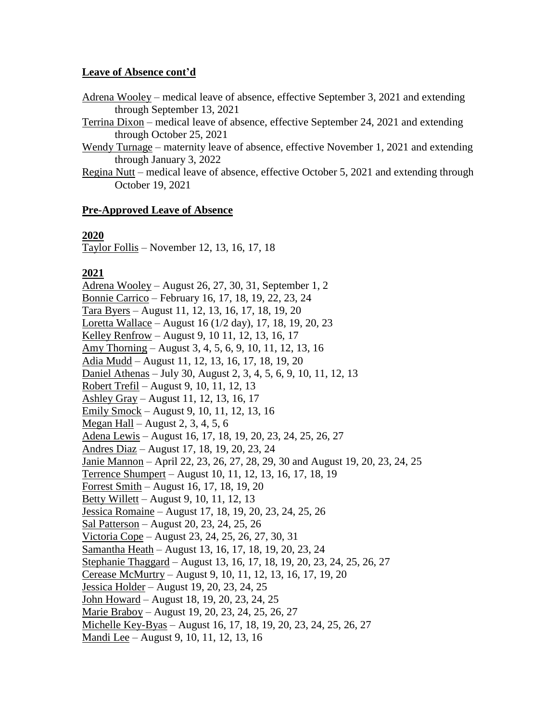#### **Leave of Absence cont'd**

- Adrena Wooley medical leave of absence, effective September 3, 2021 and extending through September 13, 2021
- Terrina Dixon medical leave of absence, effective September 24, 2021 and extending through October 25, 2021
- Wendy Turnage maternity leave of absence, effective November 1, 2021 and extending through January 3, 2022
- Regina Nutt medical leave of absence, effective October 5, 2021 and extending through October 19, 2021

## **Pre-Approved Leave of Absence**

#### **2020**

Taylor Follis – November 12, 13, 16, 17, 18

## **2021**

Adrena Wooley – August 26, 27, 30, 31, September 1, 2 Bonnie Carrico – February 16, 17, 18, 19, 22, 23, 24 Tara Byers – August 11, 12, 13, 16, 17, 18, 19, 20 Loretta Wallace – August 16 (1/2 day), 17, 18, 19, 20, 23 Kelley Renfrow – August 9, 10 11, 12, 13, 16, 17 Amy Thorning – August 3, 4, 5, 6, 9, 10, 11, 12, 13, 16 Adia Mudd – August 11, 12, 13, 16, 17, 18, 19, 20 Daniel Athenas – July 30, August 2, 3, 4, 5, 6, 9, 10, 11, 12, 13 Robert Trefil – August 9, 10, 11, 12, 13 Ashley Gray – August 11, 12, 13, 16, 17 Emily Smock – August 9, 10, 11, 12, 13, 16 Megan Hall – August 2, 3, 4, 5, 6 Adena Lewis – August 16, 17, 18, 19, 20, 23, 24, 25, 26, 27 Andres Diaz – August 17, 18, 19, 20, 23, 24 Janie Mannon – April 22, 23, 26, 27, 28, 29, 30 and August 19, 20, 23, 24, 25 Terrence Shumpert – August 10, 11, 12, 13, 16, 17, 18, 19 Forrest Smith – August 16, 17, 18, 19, 20 Betty Willett – August 9, 10, 11, 12, 13 Jessica Romaine – August 17, 18, 19, 20, 23, 24, 25, 26 Sal Patterson – August 20, 23, 24, 25, 26 Victoria Cope – August 23, 24, 25, 26, 27, 30, 31 Samantha Heath – August 13, 16, 17, 18, 19, 20, 23, 24 Stephanie Thaggard – August 13, 16, 17, 18, 19, 20, 23, 24, 25, 26, 27 Cerease McMurtry – August 9, 10, 11, 12, 13, 16, 17, 19, 20 Jessica Holder – August 19, 20, 23, 24, 25 John Howard – August 18, 19, 20, 23, 24, 25 Marie Braboy – August 19, 20, 23, 24, 25, 26, 27 Michelle Key-Byas – August 16, 17, 18, 19, 20, 23, 24, 25, 26, 27 Mandi Lee – August 9, 10, 11, 12, 13, 16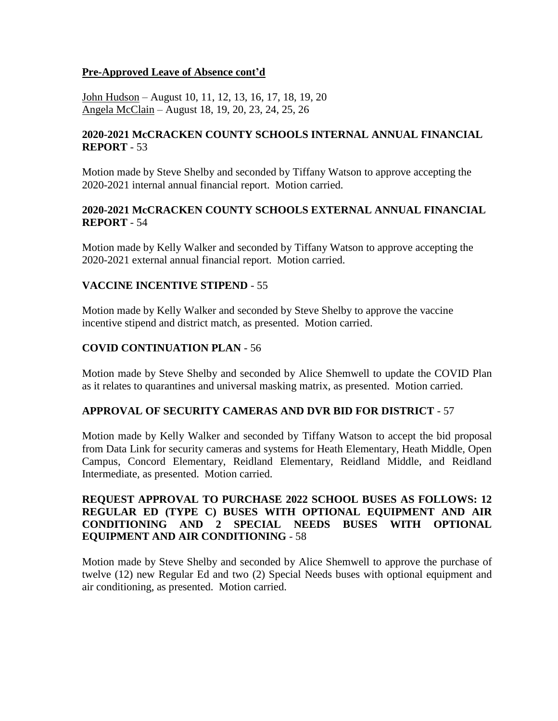## **Pre-Approved Leave of Absence cont'd**

John Hudson – August 10, 11, 12, 13, 16, 17, 18, 19, 20 Angela McClain – August 18, 19, 20, 23, 24, 25, 26

## **2020-2021 McCRACKEN COUNTY SCHOOLS INTERNAL ANNUAL FINANCIAL REPORT** - 53

Motion made by Steve Shelby and seconded by Tiffany Watson to approve accepting the 2020-2021 internal annual financial report. Motion carried.

## **2020-2021 McCRACKEN COUNTY SCHOOLS EXTERNAL ANNUAL FINANCIAL REPORT** - 54

Motion made by Kelly Walker and seconded by Tiffany Watson to approve accepting the 2020-2021 external annual financial report. Motion carried.

## **VACCINE INCENTIVE STIPEND** - 55

Motion made by Kelly Walker and seconded by Steve Shelby to approve the vaccine incentive stipend and district match, as presented. Motion carried.

## **COVID CONTINUATION PLAN** - 56

Motion made by Steve Shelby and seconded by Alice Shemwell to update the COVID Plan as it relates to quarantines and universal masking matrix, as presented. Motion carried.

#### **APPROVAL OF SECURITY CAMERAS AND DVR BID FOR DISTRICT** - 57

Motion made by Kelly Walker and seconded by Tiffany Watson to accept the bid proposal from Data Link for security cameras and systems for Heath Elementary, Heath Middle, Open Campus, Concord Elementary, Reidland Elementary, Reidland Middle, and Reidland Intermediate, as presented. Motion carried.

## **REQUEST APPROVAL TO PURCHASE 2022 SCHOOL BUSES AS FOLLOWS: 12 REGULAR ED (TYPE C) BUSES WITH OPTIONAL EQUIPMENT AND AIR CONDITIONING AND 2 SPECIAL NEEDS BUSES WITH OPTIONAL EQUIPMENT AND AIR CONDITIONING** - 58

Motion made by Steve Shelby and seconded by Alice Shemwell to approve the purchase of twelve (12) new Regular Ed and two (2) Special Needs buses with optional equipment and air conditioning, as presented. Motion carried.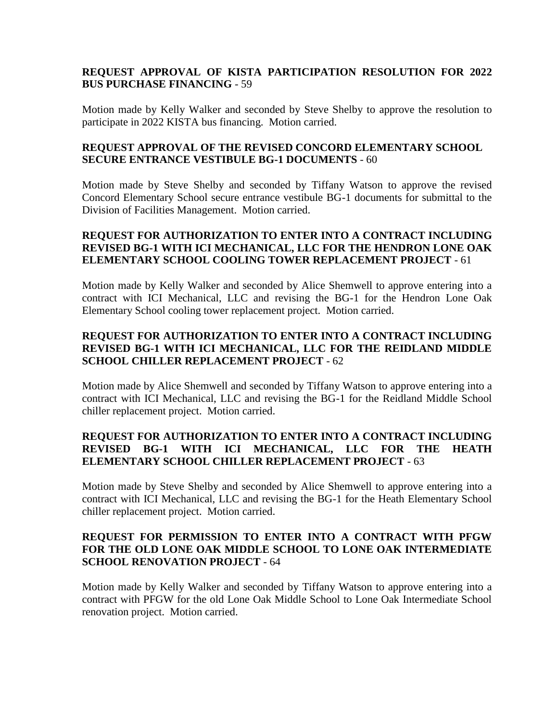## **REQUEST APPROVAL OF KISTA PARTICIPATION RESOLUTION FOR 2022 BUS PURCHASE FINANCING** - 59

Motion made by Kelly Walker and seconded by Steve Shelby to approve the resolution to participate in 2022 KISTA bus financing. Motion carried.

#### **REQUEST APPROVAL OF THE REVISED CONCORD ELEMENTARY SCHOOL SECURE ENTRANCE VESTIBULE BG-1 DOCUMENTS** - 60

Motion made by Steve Shelby and seconded by Tiffany Watson to approve the revised Concord Elementary School secure entrance vestibule BG-1 documents for submittal to the Division of Facilities Management. Motion carried.

## **REQUEST FOR AUTHORIZATION TO ENTER INTO A CONTRACT INCLUDING REVISED BG-1 WITH ICI MECHANICAL, LLC FOR THE HENDRON LONE OAK ELEMENTARY SCHOOL COOLING TOWER REPLACEMENT PROJECT** - 61

Motion made by Kelly Walker and seconded by Alice Shemwell to approve entering into a contract with ICI Mechanical, LLC and revising the BG-1 for the Hendron Lone Oak Elementary School cooling tower replacement project. Motion carried.

# **REQUEST FOR AUTHORIZATION TO ENTER INTO A CONTRACT INCLUDING REVISED BG-1 WITH ICI MECHANICAL, LLC FOR THE REIDLAND MIDDLE SCHOOL CHILLER REPLACEMENT PROJECT** - 62

Motion made by Alice Shemwell and seconded by Tiffany Watson to approve entering into a contract with ICI Mechanical, LLC and revising the BG-1 for the Reidland Middle School chiller replacement project. Motion carried.

# **REQUEST FOR AUTHORIZATION TO ENTER INTO A CONTRACT INCLUDING REVISED BG-1 WITH ICI MECHANICAL, LLC FOR THE HEATH ELEMENTARY SCHOOL CHILLER REPLACEMENT PROJECT** - 63

Motion made by Steve Shelby and seconded by Alice Shemwell to approve entering into a contract with ICI Mechanical, LLC and revising the BG-1 for the Heath Elementary School chiller replacement project. Motion carried.

## **REQUEST FOR PERMISSION TO ENTER INTO A CONTRACT WITH PFGW FOR THE OLD LONE OAK MIDDLE SCHOOL TO LONE OAK INTERMEDIATE SCHOOL RENOVATION PROJECT** - 64

Motion made by Kelly Walker and seconded by Tiffany Watson to approve entering into a contract with PFGW for the old Lone Oak Middle School to Lone Oak Intermediate School renovation project. Motion carried.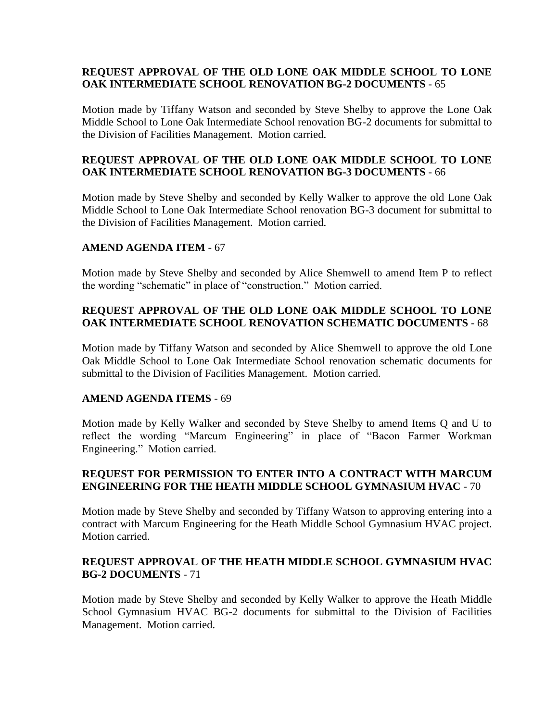## **REQUEST APPROVAL OF THE OLD LONE OAK MIDDLE SCHOOL TO LONE OAK INTERMEDIATE SCHOOL RENOVATION BG-2 DOCUMENTS** - 65

Motion made by Tiffany Watson and seconded by Steve Shelby to approve the Lone Oak Middle School to Lone Oak Intermediate School renovation BG-2 documents for submittal to the Division of Facilities Management. Motion carried.

## **REQUEST APPROVAL OF THE OLD LONE OAK MIDDLE SCHOOL TO LONE OAK INTERMEDIATE SCHOOL RENOVATION BG-3 DOCUMENTS** - 66

Motion made by Steve Shelby and seconded by Kelly Walker to approve the old Lone Oak Middle School to Lone Oak Intermediate School renovation BG-3 document for submittal to the Division of Facilities Management. Motion carried.

#### **AMEND AGENDA ITEM** - 67

Motion made by Steve Shelby and seconded by Alice Shemwell to amend Item P to reflect the wording "schematic" in place of "construction." Motion carried.

## **REQUEST APPROVAL OF THE OLD LONE OAK MIDDLE SCHOOL TO LONE OAK INTERMEDIATE SCHOOL RENOVATION SCHEMATIC DOCUMENTS** - 68

Motion made by Tiffany Watson and seconded by Alice Shemwell to approve the old Lone Oak Middle School to Lone Oak Intermediate School renovation schematic documents for submittal to the Division of Facilities Management. Motion carried.

#### **AMEND AGENDA ITEMS** - 69

Motion made by Kelly Walker and seconded by Steve Shelby to amend Items Q and U to reflect the wording "Marcum Engineering" in place of "Bacon Farmer Workman Engineering." Motion carried.

# **REQUEST FOR PERMISSION TO ENTER INTO A CONTRACT WITH MARCUM ENGINEERING FOR THE HEATH MIDDLE SCHOOL GYMNASIUM HVAC** - 70

Motion made by Steve Shelby and seconded by Tiffany Watson to approving entering into a contract with Marcum Engineering for the Heath Middle School Gymnasium HVAC project. Motion carried.

# **REQUEST APPROVAL OF THE HEATH MIDDLE SCHOOL GYMNASIUM HVAC BG-2 DOCUMENTS** - 71

Motion made by Steve Shelby and seconded by Kelly Walker to approve the Heath Middle School Gymnasium HVAC BG-2 documents for submittal to the Division of Facilities Management. Motion carried.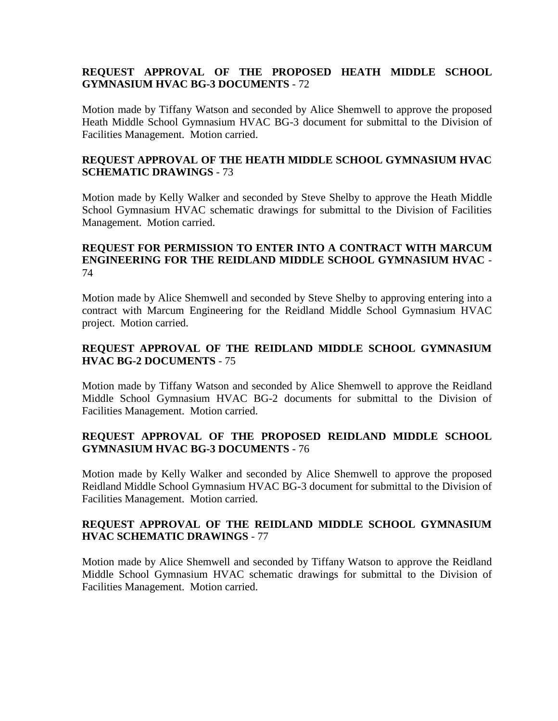# **REQUEST APPROVAL OF THE PROPOSED HEATH MIDDLE SCHOOL GYMNASIUM HVAC BG-3 DOCUMENTS** - 72

Motion made by Tiffany Watson and seconded by Alice Shemwell to approve the proposed Heath Middle School Gymnasium HVAC BG-3 document for submittal to the Division of Facilities Management. Motion carried.

## **REQUEST APPROVAL OF THE HEATH MIDDLE SCHOOL GYMNASIUM HVAC SCHEMATIC DRAWINGS** - 73

Motion made by Kelly Walker and seconded by Steve Shelby to approve the Heath Middle School Gymnasium HVAC schematic drawings for submittal to the Division of Facilities Management. Motion carried.

## **REQUEST FOR PERMISSION TO ENTER INTO A CONTRACT WITH MARCUM ENGINEERING FOR THE REIDLAND MIDDLE SCHOOL GYMNASIUM HVAC** - 74

Motion made by Alice Shemwell and seconded by Steve Shelby to approving entering into a contract with Marcum Engineering for the Reidland Middle School Gymnasium HVAC project. Motion carried.

## **REQUEST APPROVAL OF THE REIDLAND MIDDLE SCHOOL GYMNASIUM HVAC BG-2 DOCUMENTS** - 75

Motion made by Tiffany Watson and seconded by Alice Shemwell to approve the Reidland Middle School Gymnasium HVAC BG-2 documents for submittal to the Division of Facilities Management. Motion carried.

# **REQUEST APPROVAL OF THE PROPOSED REIDLAND MIDDLE SCHOOL GYMNASIUM HVAC BG-3 DOCUMENTS** - 76

Motion made by Kelly Walker and seconded by Alice Shemwell to approve the proposed Reidland Middle School Gymnasium HVAC BG-3 document for submittal to the Division of Facilities Management. Motion carried.

## **REQUEST APPROVAL OF THE REIDLAND MIDDLE SCHOOL GYMNASIUM HVAC SCHEMATIC DRAWINGS** - 77

Motion made by Alice Shemwell and seconded by Tiffany Watson to approve the Reidland Middle School Gymnasium HVAC schematic drawings for submittal to the Division of Facilities Management. Motion carried.